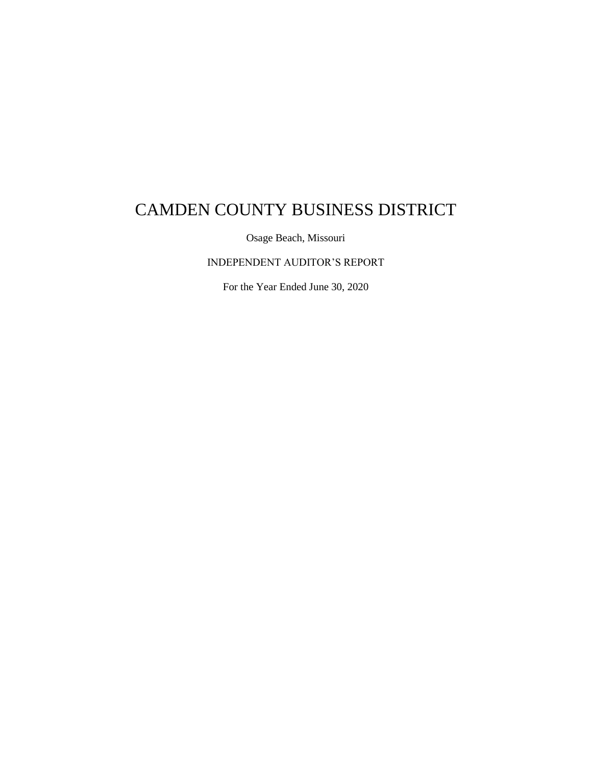Osage Beach, Missouri

INDEPENDENT AUDITOR'S REPORT

For the Year Ended June 30, 2020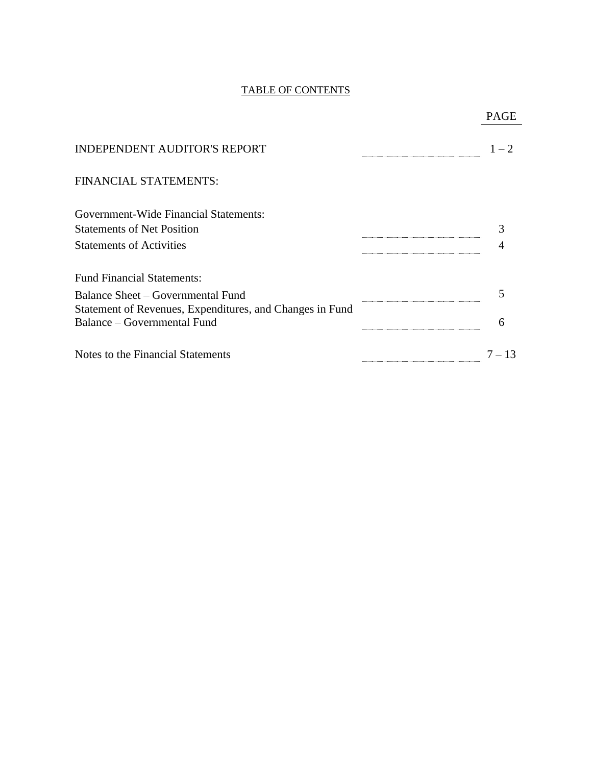#### TABLE OF CONTENTS

| <b>INDEPENDENT AUDITOR'S REPORT</b><br>FINANCIAL STATEMENTS:<br><b>Government-Wide Financial Statements:</b><br><b>Statements of Net Position</b><br><b>Statements of Activities</b><br><b>Fund Financial Statements:</b><br>Balance Sheet – Governmental Fund<br>Statement of Revenues, Expenditures, and Changes in Fund<br><b>Balance - Governmental Fund</b><br>6 |          |
|-----------------------------------------------------------------------------------------------------------------------------------------------------------------------------------------------------------------------------------------------------------------------------------------------------------------------------------------------------------------------|----------|
|                                                                                                                                                                                                                                                                                                                                                                       | $1 - 2$  |
|                                                                                                                                                                                                                                                                                                                                                                       |          |
|                                                                                                                                                                                                                                                                                                                                                                       |          |
|                                                                                                                                                                                                                                                                                                                                                                       |          |
|                                                                                                                                                                                                                                                                                                                                                                       |          |
|                                                                                                                                                                                                                                                                                                                                                                       |          |
|                                                                                                                                                                                                                                                                                                                                                                       |          |
|                                                                                                                                                                                                                                                                                                                                                                       |          |
| Notes to the Financial Statements                                                                                                                                                                                                                                                                                                                                     | $7 - 13$ |

## PAGE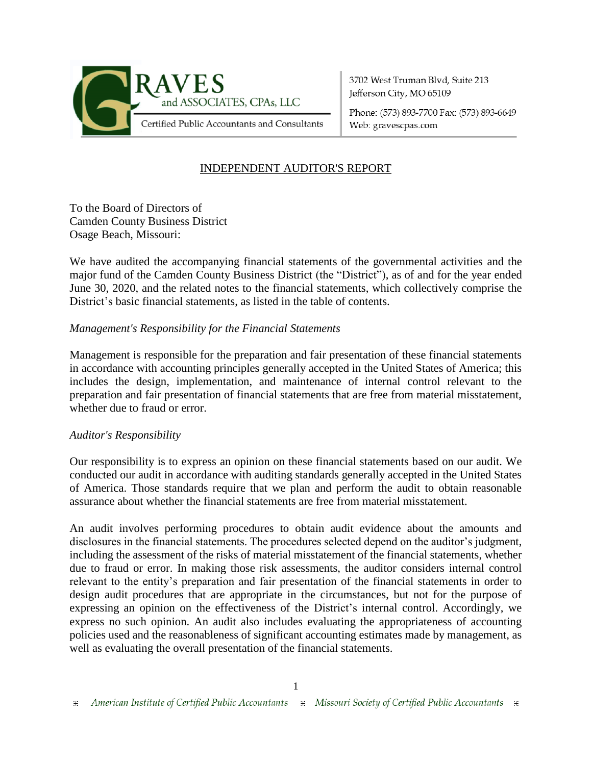

3702 West Truman Blvd, Suite 213 Jefferson City, MO 65109

Phone: (573) 893-7700 Fax: (573) 893-6649 Web: gravescpas.com

## INDEPENDENT AUDITOR'S REPORT

To the Board of Directors of Camden County Business District Osage Beach, Missouri:

We have audited the accompanying financial statements of the governmental activities and the major fund of the Camden County Business District (the "District"), as of and for the year ended June 30, 2020, and the related notes to the financial statements, which collectively comprise the District's basic financial statements, as listed in the table of contents.

#### *Management's Responsibility for the Financial Statements*

Management is responsible for the preparation and fair presentation of these financial statements in accordance with accounting principles generally accepted in the United States of America; this includes the design, implementation, and maintenance of internal control relevant to the preparation and fair presentation of financial statements that are free from material misstatement, whether due to fraud or error.

#### *Auditor's Responsibility*

Our responsibility is to express an opinion on these financial statements based on our audit. We conducted our audit in accordance with auditing standards generally accepted in the United States of America. Those standards require that we plan and perform the audit to obtain reasonable assurance about whether the financial statements are free from material misstatement.

An audit involves performing procedures to obtain audit evidence about the amounts and disclosures in the financial statements. The procedures selected depend on the auditor's judgment, including the assessment of the risks of material misstatement of the financial statements, whether due to fraud or error. In making those risk assessments, the auditor considers internal control relevant to the entity's preparation and fair presentation of the financial statements in order to design audit procedures that are appropriate in the circumstances, but not for the purpose of expressing an opinion on the effectiveness of the District's internal control. Accordingly, we express no such opinion. An audit also includes evaluating the appropriateness of accounting policies used and the reasonableness of significant accounting estimates made by management, as well as evaluating the overall presentation of the financial statements.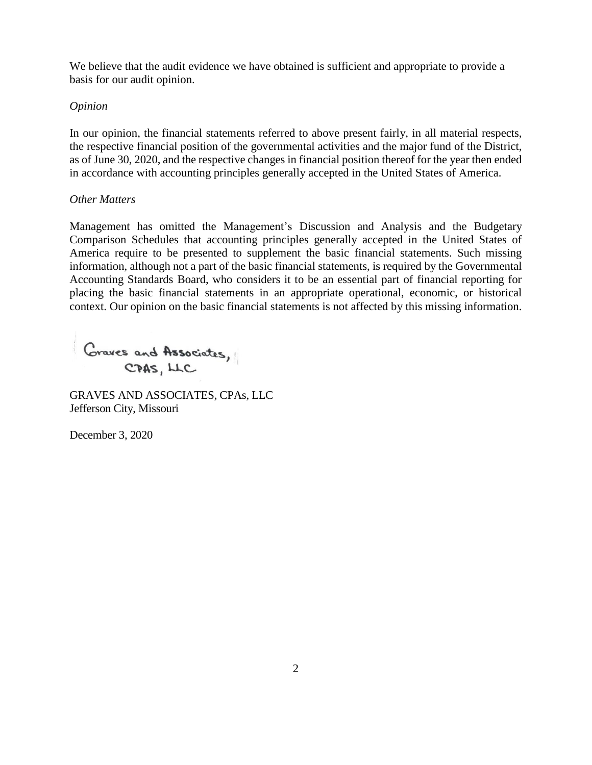We believe that the audit evidence we have obtained is sufficient and appropriate to provide a basis for our audit opinion.

#### *Opinion*

In our opinion, the financial statements referred to above present fairly, in all material respects, the respective financial position of the governmental activities and the major fund of the District, as of June 30, 2020, and the respective changes in financial position thereof for the year then ended in accordance with accounting principles generally accepted in the United States of America.

#### *Other Matters*

Management has omitted the Management's Discussion and Analysis and the Budgetary Comparison Schedules that accounting principles generally accepted in the United States of America require to be presented to supplement the basic financial statements. Such missing information, although not a part of the basic financial statements, is required by the Governmental Accounting Standards Board, who considers it to be an essential part of financial reporting for placing the basic financial statements in an appropriate operational, economic, or historical context. Our opinion on the basic financial statements is not affected by this missing information.

Graves and Associates, CPAS, LLC

GRAVES AND ASSOCIATES, CPAs, LLC Jefferson City, Missouri

December 3, 2020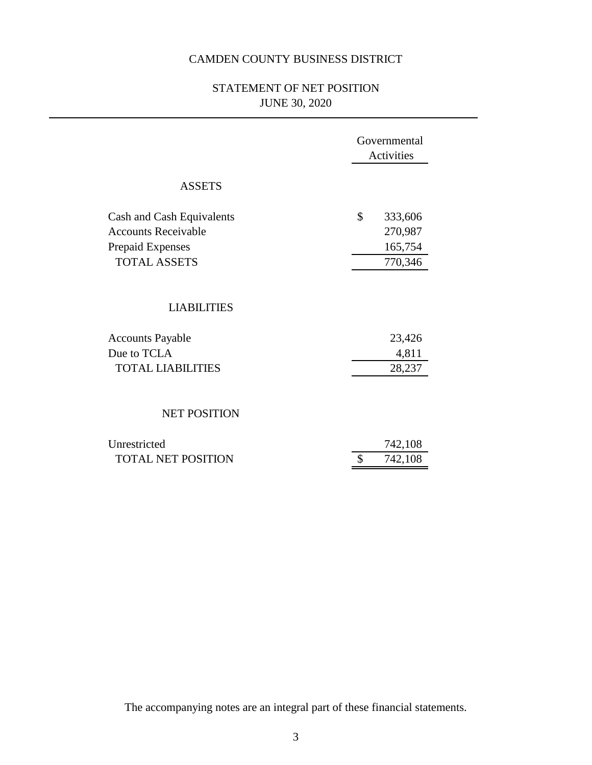## STATEMENT OF NET POSITION JUNE 30, 2020

|                                                                                                           | Governmental<br>Activities                     |  |
|-----------------------------------------------------------------------------------------------------------|------------------------------------------------|--|
| <b>ASSETS</b>                                                                                             |                                                |  |
| Cash and Cash Equivalents<br><b>Accounts Receivable</b><br><b>Prepaid Expenses</b><br><b>TOTAL ASSETS</b> | \$<br>333,606<br>270,987<br>165,754<br>770,346 |  |
| <b>LIABILITIES</b>                                                                                        |                                                |  |
| <b>Accounts Payable</b><br>Due to TCLA<br><b>TOTAL LIABILITIES</b>                                        | 23,426<br>4,811<br>28,237                      |  |
| <b>NET POSITION</b>                                                                                       |                                                |  |
| Unrestricted<br><b>TOTAL NET POSITION</b>                                                                 | 742,108<br>742,108                             |  |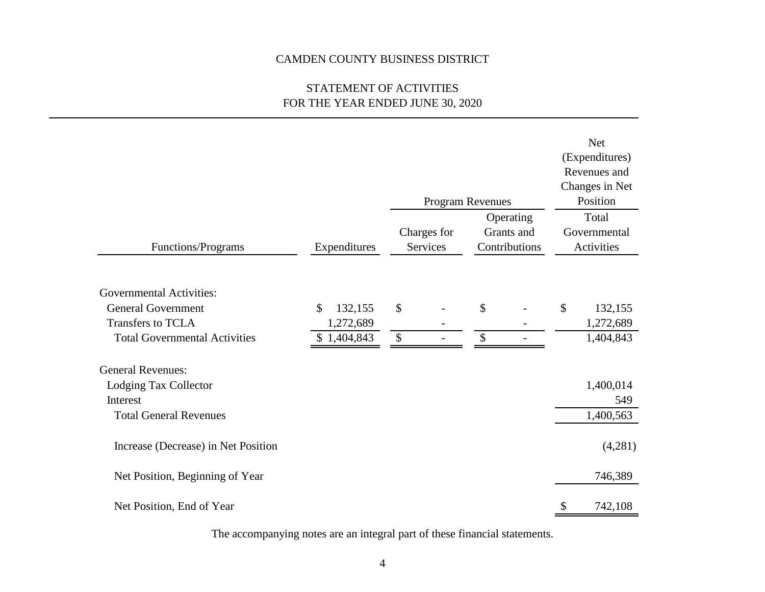## STATEMENT OF ACTIVITIES FOR THE YEAR ENDED JUNE 30, 2020

|                                      |               |        | Program Revenues               |                                          | <b>Net</b><br>(Expenditures)<br>Revenues and<br>Changes in Net<br>Position |
|--------------------------------------|---------------|--------|--------------------------------|------------------------------------------|----------------------------------------------------------------------------|
| Functions/Programs                   | Expenditures  |        | Charges for<br><b>Services</b> | Operating<br>Grants and<br>Contributions | Total<br>Governmental<br>Activities                                        |
|                                      |               |        |                                |                                          |                                                                            |
| <b>Governmental Activities:</b>      |               |        |                                |                                          |                                                                            |
| <b>General Government</b>            | \$<br>132,155 | \$     |                                | \$                                       | \$<br>132,155                                                              |
| Transfers to TCLA                    | 1,272,689     |        |                                |                                          | 1,272,689                                                                  |
| <b>Total Governmental Activities</b> | \$1,404,843   | $\$\,$ | $\blacksquare$                 | \$                                       | 1,404,843                                                                  |
| <b>General Revenues:</b>             |               |        |                                |                                          |                                                                            |
| Lodging Tax Collector                |               |        |                                |                                          | 1,400,014                                                                  |
| Interest                             |               |        |                                |                                          | 549                                                                        |
| <b>Total General Revenues</b>        |               |        |                                |                                          | 1,400,563                                                                  |
| Increase (Decrease) in Net Position  |               |        |                                |                                          | (4,281)                                                                    |
| Net Position, Beginning of Year      |               |        |                                |                                          | 746,389                                                                    |
| Net Position, End of Year            |               |        |                                |                                          | \$<br>742,108                                                              |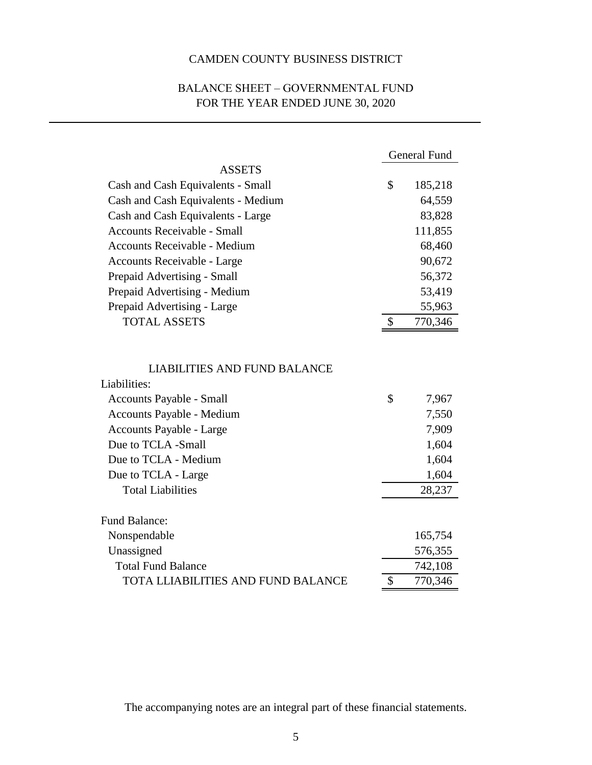## BALANCE SHEET – GOVERNMENTAL FUND FOR THE YEAR ENDED JUNE 30, 2020

|                                                                                                                                                                                        | <b>General Fund</b>                             |
|----------------------------------------------------------------------------------------------------------------------------------------------------------------------------------------|-------------------------------------------------|
| <b>ASSETS</b>                                                                                                                                                                          |                                                 |
| Cash and Cash Equivalents - Small                                                                                                                                                      | \$<br>185,218                                   |
| Cash and Cash Equivalents - Medium                                                                                                                                                     | 64,559                                          |
| Cash and Cash Equivalents - Large                                                                                                                                                      | 83,828                                          |
| Accounts Receivable - Small                                                                                                                                                            | 111,855                                         |
| <b>Accounts Receivable - Medium</b>                                                                                                                                                    | 68,460                                          |
| Accounts Receivable - Large                                                                                                                                                            | 90,672                                          |
| Prepaid Advertising - Small                                                                                                                                                            | 56,372                                          |
| Prepaid Advertising - Medium                                                                                                                                                           | 53,419                                          |
| Prepaid Advertising - Large                                                                                                                                                            | 55,963                                          |
| <b>TOTAL ASSETS</b>                                                                                                                                                                    | \$<br>770,346                                   |
| <b>LIABILITIES AND FUND BALANCE</b><br>Liabilities:<br>Accounts Payable - Small<br>Accounts Payable - Medium<br>Accounts Payable - Large<br>Due to TCLA -Small<br>Due to TCLA - Medium | \$<br>7,967<br>7,550<br>7,909<br>1,604<br>1,604 |
| Due to TCLA - Large                                                                                                                                                                    | 1,604                                           |
| <b>Total Liabilities</b>                                                                                                                                                               | 28,237                                          |
| <b>Fund Balance:</b>                                                                                                                                                                   |                                                 |
| Nonspendable                                                                                                                                                                           | 165,754                                         |
| Unassigned                                                                                                                                                                             | 576,355                                         |
| <b>Total Fund Balance</b>                                                                                                                                                              | 742,108                                         |
| <b>TOTA LLIABILITIES AND FUND BALANCE</b>                                                                                                                                              | \$<br>770,346                                   |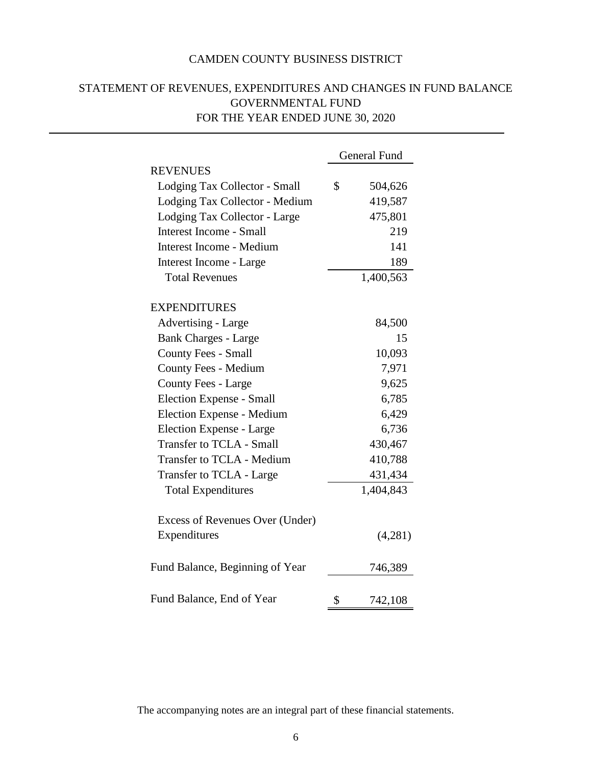|                                 | <b>General Fund</b> |
|---------------------------------|---------------------|
| <b>REVENUES</b>                 |                     |
| Lodging Tax Collector - Small   | \$<br>504,626       |
| Lodging Tax Collector - Medium  | 419,587             |
| Lodging Tax Collector - Large   | 475,801             |
| <b>Interest Income - Small</b>  | 219                 |
| Interest Income - Medium        | 141                 |
| Interest Income - Large         | 189                 |
| <b>Total Revenues</b>           | 1,400,563           |
| <b>EXPENDITURES</b>             |                     |
| Advertising - Large             | 84,500              |
| <b>Bank Charges - Large</b>     | 15                  |
| <b>County Fees - Small</b>      | 10,093              |
| County Fees - Medium            | 7,971               |
| <b>County Fees - Large</b>      | 9,625               |
| Election Expense - Small        | 6,785               |
| Election Expense - Medium       | 6,429               |
| Election Expense - Large        | 6,736               |
| <b>Transfer to TCLA - Small</b> | 430,467             |
| Transfer to TCLA - Medium       | 410,788             |
| Transfer to TCLA - Large        | 431,434             |
| <b>Total Expenditures</b>       | 1,404,843           |
| Excess of Revenues Over (Under) |                     |
| Expenditures                    | (4,281)             |
| Fund Balance, Beginning of Year | 746,389             |
| Fund Balance, End of Year       | \$<br>742,108       |

## STATEMENT OF REVENUES, EXPENDITURES AND CHANGES IN FUND BALANCE GOVERNMENTAL FUND FOR THE YEAR ENDED JUNE 30, 2020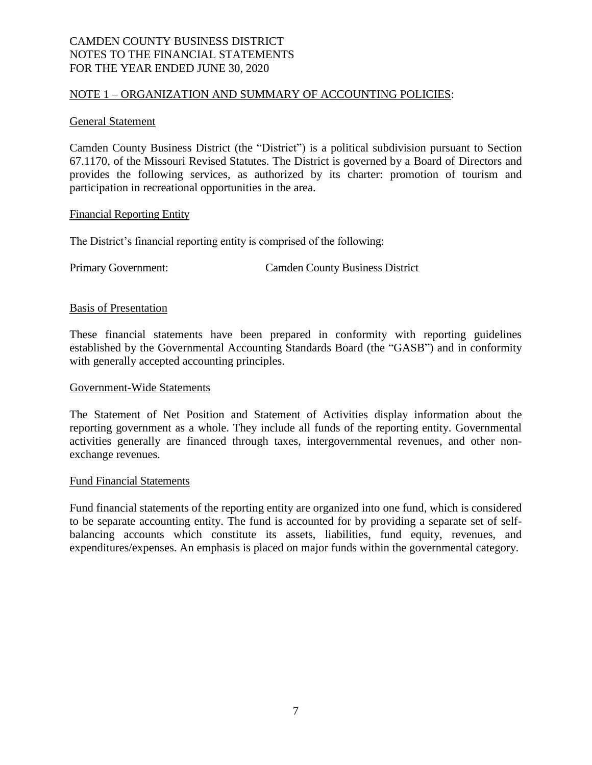#### NOTE 1 – ORGANIZATION AND SUMMARY OF ACCOUNTING POLICIES:

#### General Statement

Camden County Business District (the "District") is a political subdivision pursuant to Section 67.1170, of the Missouri Revised Statutes. The District is governed by a Board of Directors and provides the following services, as authorized by its charter: promotion of tourism and participation in recreational opportunities in the area.

#### Financial Reporting Entity

The District's financial reporting entity is comprised of the following:

Primary Government: Camden County Business District

#### Basis of Presentation

These financial statements have been prepared in conformity with reporting guidelines established by the Governmental Accounting Standards Board (the "GASB") and in conformity with generally accepted accounting principles.

#### Government-Wide Statements

The Statement of Net Position and Statement of Activities display information about the reporting government as a whole. They include all funds of the reporting entity. Governmental activities generally are financed through taxes, intergovernmental revenues, and other nonexchange revenues.

#### Fund Financial Statements

Fund financial statements of the reporting entity are organized into one fund, which is considered to be separate accounting entity. The fund is accounted for by providing a separate set of selfbalancing accounts which constitute its assets, liabilities, fund equity, revenues, and expenditures/expenses. An emphasis is placed on major funds within the governmental category.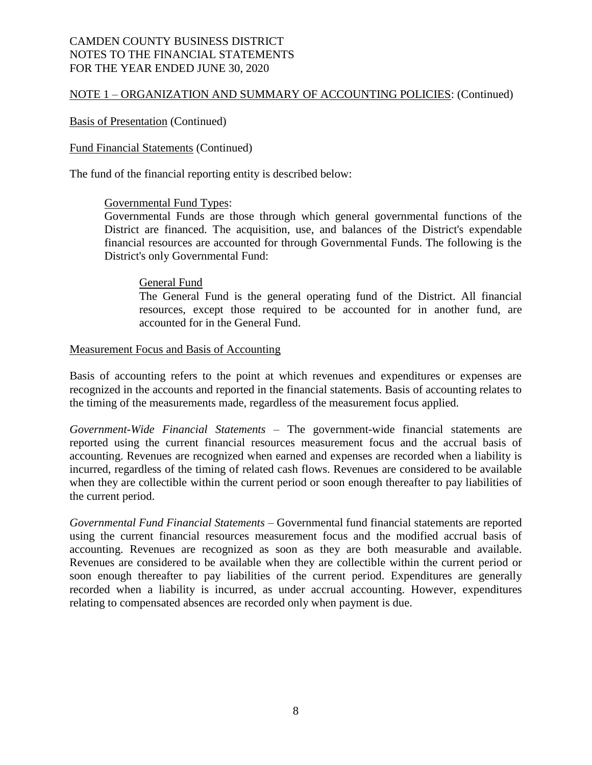#### NOTE 1 – ORGANIZATION AND SUMMARY OF ACCOUNTING POLICIES: (Continued)

#### Basis of Presentation (Continued)

#### Fund Financial Statements (Continued)

The fund of the financial reporting entity is described below:

#### Governmental Fund Types:

Governmental Funds are those through which general governmental functions of the District are financed. The acquisition, use, and balances of the District's expendable financial resources are accounted for through Governmental Funds. The following is the District's only Governmental Fund:

#### General Fund

The General Fund is the general operating fund of the District. All financial resources, except those required to be accounted for in another fund, are accounted for in the General Fund.

#### Measurement Focus and Basis of Accounting

Basis of accounting refers to the point at which revenues and expenditures or expenses are recognized in the accounts and reported in the financial statements. Basis of accounting relates to the timing of the measurements made, regardless of the measurement focus applied.

*Government-Wide Financial Statements* – The government-wide financial statements are reported using the current financial resources measurement focus and the accrual basis of accounting. Revenues are recognized when earned and expenses are recorded when a liability is incurred, regardless of the timing of related cash flows. Revenues are considered to be available when they are collectible within the current period or soon enough thereafter to pay liabilities of the current period.

*Governmental Fund Financial Statements* – Governmental fund financial statements are reported using the current financial resources measurement focus and the modified accrual basis of accounting. Revenues are recognized as soon as they are both measurable and available. Revenues are considered to be available when they are collectible within the current period or soon enough thereafter to pay liabilities of the current period. Expenditures are generally recorded when a liability is incurred, as under accrual accounting. However, expenditures relating to compensated absences are recorded only when payment is due.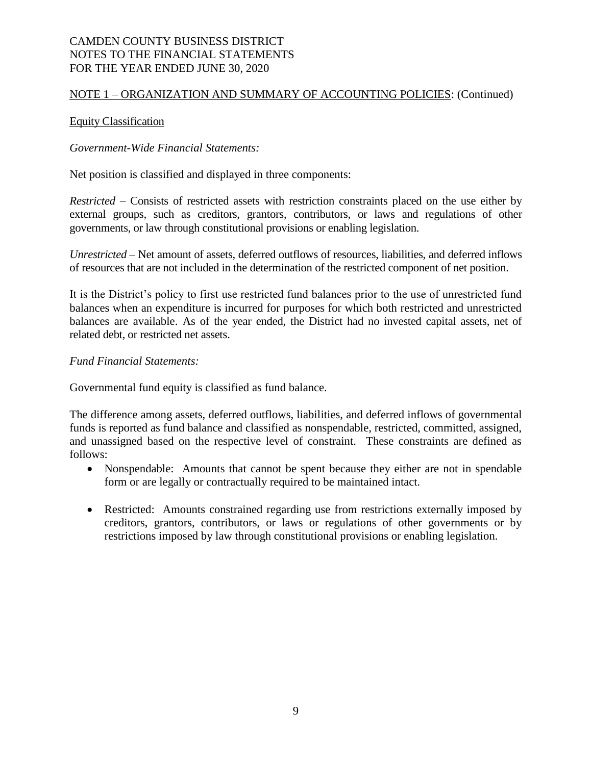#### NOTE 1 – ORGANIZATION AND SUMMARY OF ACCOUNTING POLICIES: (Continued)

#### Equity Classification

#### *Government-Wide Financial Statements:*

Net position is classified and displayed in three components:

*Restricted* – Consists of restricted assets with restriction constraints placed on the use either by external groups, such as creditors, grantors, contributors, or laws and regulations of other governments, or law through constitutional provisions or enabling legislation.

*Unrestricted* – Net amount of assets, deferred outflows of resources, liabilities, and deferred inflows of resources that are not included in the determination of the restricted component of net position.

It is the District's policy to first use restricted fund balances prior to the use of unrestricted fund balances when an expenditure is incurred for purposes for which both restricted and unrestricted balances are available. As of the year ended, the District had no invested capital assets, net of related debt, or restricted net assets.

#### *Fund Financial Statements:*

Governmental fund equity is classified as fund balance.

The difference among assets, deferred outflows, liabilities, and deferred inflows of governmental funds is reported as fund balance and classified as nonspendable, restricted, committed, assigned, and unassigned based on the respective level of constraint. These constraints are defined as follows:

- Nonspendable: Amounts that cannot be spent because they either are not in spendable form or are legally or contractually required to be maintained intact.
- Restricted: Amounts constrained regarding use from restrictions externally imposed by creditors, grantors, contributors, or laws or regulations of other governments or by restrictions imposed by law through constitutional provisions or enabling legislation.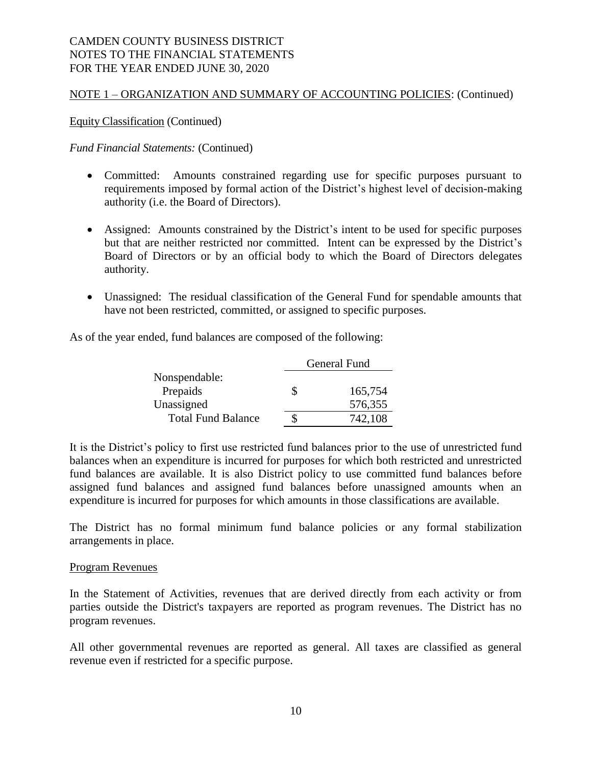#### NOTE 1 – ORGANIZATION AND SUMMARY OF ACCOUNTING POLICIES: (Continued)

Equity Classification (Continued)

*Fund Financial Statements:* (Continued)

- Committed: Amounts constrained regarding use for specific purposes pursuant to requirements imposed by formal action of the District's highest level of decision-making authority (i.e. the Board of Directors).
- Assigned: Amounts constrained by the District's intent to be used for specific purposes but that are neither restricted nor committed. Intent can be expressed by the District's Board of Directors or by an official body to which the Board of Directors delegates authority.
- Unassigned: The residual classification of the General Fund for spendable amounts that have not been restricted, committed, or assigned to specific purposes.

As of the year ended, fund balances are composed of the following:

|                           |   | General Fund |  |  |
|---------------------------|---|--------------|--|--|
| Nonspendable:             |   |              |  |  |
| Prepaids                  | S | 165,754      |  |  |
| Unassigned                |   | 576,355      |  |  |
| <b>Total Fund Balance</b> |   | 742,108      |  |  |

It is the District's policy to first use restricted fund balances prior to the use of unrestricted fund balances when an expenditure is incurred for purposes for which both restricted and unrestricted fund balances are available. It is also District policy to use committed fund balances before assigned fund balances and assigned fund balances before unassigned amounts when an expenditure is incurred for purposes for which amounts in those classifications are available.

The District has no formal minimum fund balance policies or any formal stabilization arrangements in place.

#### Program Revenues

In the Statement of Activities, revenues that are derived directly from each activity or from parties outside the District's taxpayers are reported as program revenues. The District has no program revenues.

All other governmental revenues are reported as general. All taxes are classified as general revenue even if restricted for a specific purpose.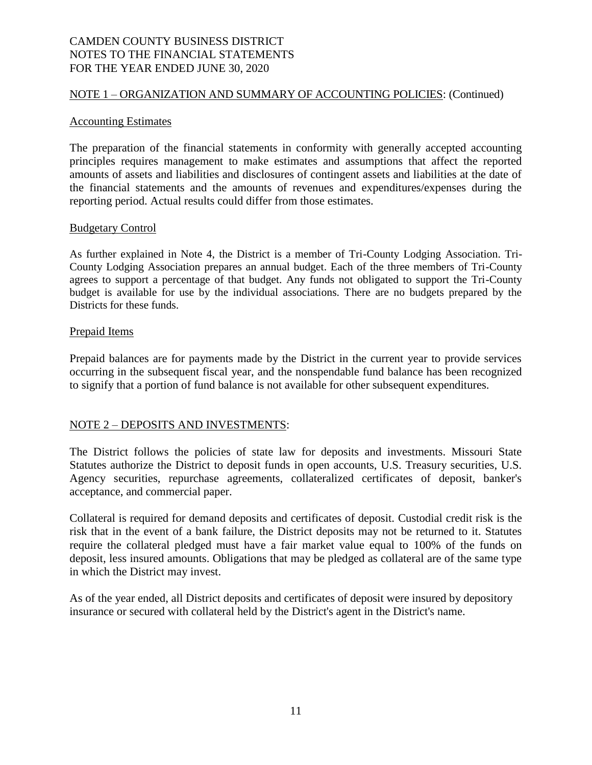#### NOTE 1 – ORGANIZATION AND SUMMARY OF ACCOUNTING POLICIES: (Continued)

#### Accounting Estimates

The preparation of the financial statements in conformity with generally accepted accounting principles requires management to make estimates and assumptions that affect the reported amounts of assets and liabilities and disclosures of contingent assets and liabilities at the date of the financial statements and the amounts of revenues and expenditures/expenses during the reporting period. Actual results could differ from those estimates.

#### Budgetary Control

As further explained in Note 4, the District is a member of Tri-County Lodging Association. Tri-County Lodging Association prepares an annual budget. Each of the three members of Tri-County agrees to support a percentage of that budget. Any funds not obligated to support the Tri-County budget is available for use by the individual associations. There are no budgets prepared by the Districts for these funds.

#### Prepaid Items

Prepaid balances are for payments made by the District in the current year to provide services occurring in the subsequent fiscal year, and the nonspendable fund balance has been recognized to signify that a portion of fund balance is not available for other subsequent expenditures.

#### NOTE 2 – DEPOSITS AND INVESTMENTS:

The District follows the policies of state law for deposits and investments. Missouri State Statutes authorize the District to deposit funds in open accounts, U.S. Treasury securities, U.S. Agency securities, repurchase agreements, collateralized certificates of deposit, banker's acceptance, and commercial paper.

Collateral is required for demand deposits and certificates of deposit. Custodial credit risk is the risk that in the event of a bank failure, the District deposits may not be returned to it. Statutes require the collateral pledged must have a fair market value equal to 100% of the funds on deposit, less insured amounts. Obligations that may be pledged as collateral are of the same type in which the District may invest.

As of the year ended, all District deposits and certificates of deposit were insured by depository insurance or secured with collateral held by the District's agent in the District's name.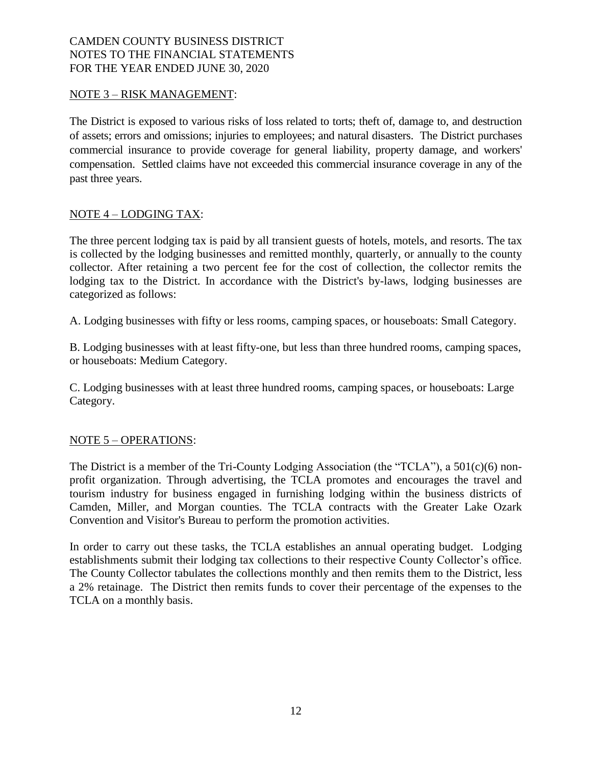#### NOTE 3 – RISK MANAGEMENT:

The District is exposed to various risks of loss related to torts; theft of, damage to, and destruction of assets; errors and omissions; injuries to employees; and natural disasters. The District purchases commercial insurance to provide coverage for general liability, property damage, and workers' compensation. Settled claims have not exceeded this commercial insurance coverage in any of the past three years.

#### NOTE 4 – LODGING TAX:

The three percent lodging tax is paid by all transient guests of hotels, motels, and resorts. The tax is collected by the lodging businesses and remitted monthly, quarterly, or annually to the county collector. After retaining a two percent fee for the cost of collection, the collector remits the lodging tax to the District. In accordance with the District's by-laws, lodging businesses are categorized as follows:

A. Lodging businesses with fifty or less rooms, camping spaces, or houseboats: Small Category.

B. Lodging businesses with at least fifty-one, but less than three hundred rooms, camping spaces, or houseboats: Medium Category.

C. Lodging businesses with at least three hundred rooms, camping spaces, or houseboats: Large Category.

#### NOTE 5 – OPERATIONS:

The District is a member of the Tri-County Lodging Association (the "TCLA"), a 501(c)(6) nonprofit organization. Through advertising, the TCLA promotes and encourages the travel and tourism industry for business engaged in furnishing lodging within the business districts of Camden, Miller, and Morgan counties. The TCLA contracts with the Greater Lake Ozark Convention and Visitor's Bureau to perform the promotion activities.

In order to carry out these tasks, the TCLA establishes an annual operating budget. Lodging establishments submit their lodging tax collections to their respective County Collector's office. The County Collector tabulates the collections monthly and then remits them to the District, less a 2% retainage. The District then remits funds to cover their percentage of the expenses to the TCLA on a monthly basis.